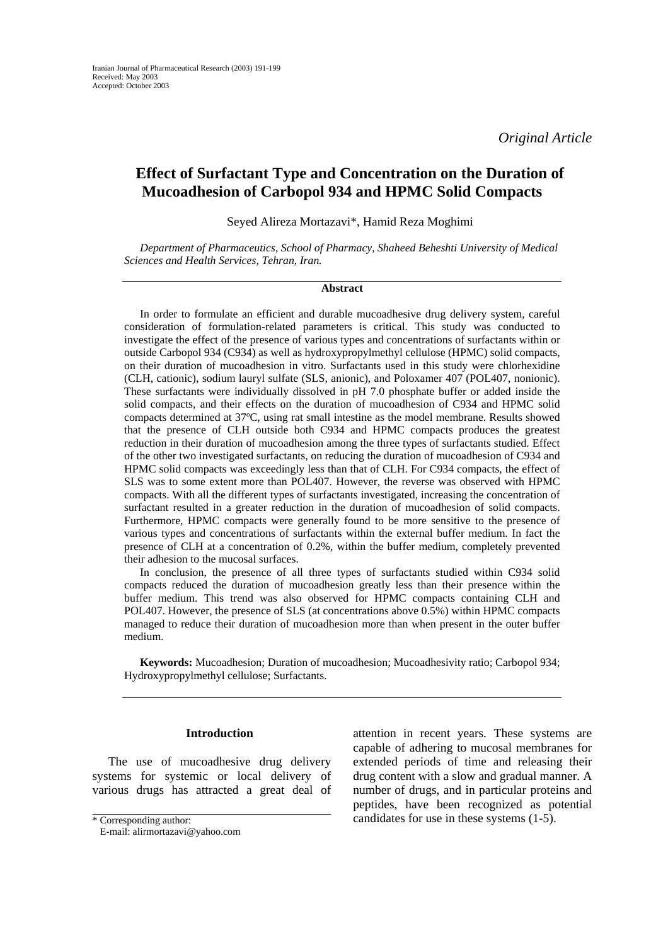*Original Article* 

# **Effect of Surfactant Type and Concentration on the Duration of Mucoadhesion of Carbopol 934 and HPMC Solid Compacts**

Seyed Alireza Mortazavi\*, Hamid Reza Moghimi

*Department of Pharmaceutics, School of Pharmacy, Shaheed Beheshti University of Medical Sciences and Health Services, Tehran, Iran.* 

### **Abstract**

In order to formulate an efficient and durable mucoadhesive drug delivery system, careful consideration of formulation-related parameters is critical. This study was conducted to investigate the effect of the presence of various types and concentrations of surfactants within or outside Carbopol 934 (C934) as well as hydroxypropylmethyl cellulose (HPMC) solid compacts, on their duration of mucoadhesion in vitro. Surfactants used in this study were chlorhexidine (CLH, cationic), sodium lauryl sulfate (SLS, anionic), and Poloxamer 407 (POL407, nonionic). These surfactants were individually dissolved in pH 7.0 phosphate buffer or added inside the solid compacts, and their effects on the duration of mucoadhesion of C934 and HPMC solid compacts determined at 37ºC, using rat small intestine as the model membrane. Results showed that the presence of CLH outside both C934 and HPMC compacts produces the greatest reduction in their duration of mucoadhesion among the three types of surfactants studied. Effect of the other two investigated surfactants, on reducing the duration of mucoadhesion of C934 and HPMC solid compacts was exceedingly less than that of CLH. For C934 compacts, the effect of SLS was to some extent more than POL407. However, the reverse was observed with HPMC compacts. With all the different types of surfactants investigated, increasing the concentration of surfactant resulted in a greater reduction in the duration of mucoadhesion of solid compacts. Furthermore, HPMC compacts were generally found to be more sensitive to the presence of various types and concentrations of surfactants within the external buffer medium. In fact the presence of CLH at a concentration of 0.2%, within the buffer medium, completely prevented their adhesion to the mucosal surfaces.

In conclusion, the presence of all three types of surfactants studied within C934 solid compacts reduced the duration of mucoadhesion greatly less than their presence within the buffer medium. This trend was also observed for HPMC compacts containing CLH and POL407. However, the presence of SLS (at concentrations above 0.5%) within HPMC compacts managed to reduce their duration of mucoadhesion more than when present in the outer buffer medium.

**Keywords:** Mucoadhesion; Duration of mucoadhesion; Mucoadhesivity ratio; Carbopol 934; Hydroxypropylmethyl cellulose; Surfactants.

# **Introduction**

The use of mucoadhesive drug delivery systems for systemic or local delivery of various drugs has attracted a great deal of

attention in recent years. These systems are capable of adhering to mucosal membranes for extended periods of time and releasing their drug content with a slow and gradual manner. A number of drugs, and in particular proteins and peptides, have been recognized as potential \* Corresponding author: **candidates for use in these systems (1-5).** 

E-mail: alirmortazavi@yahoo.com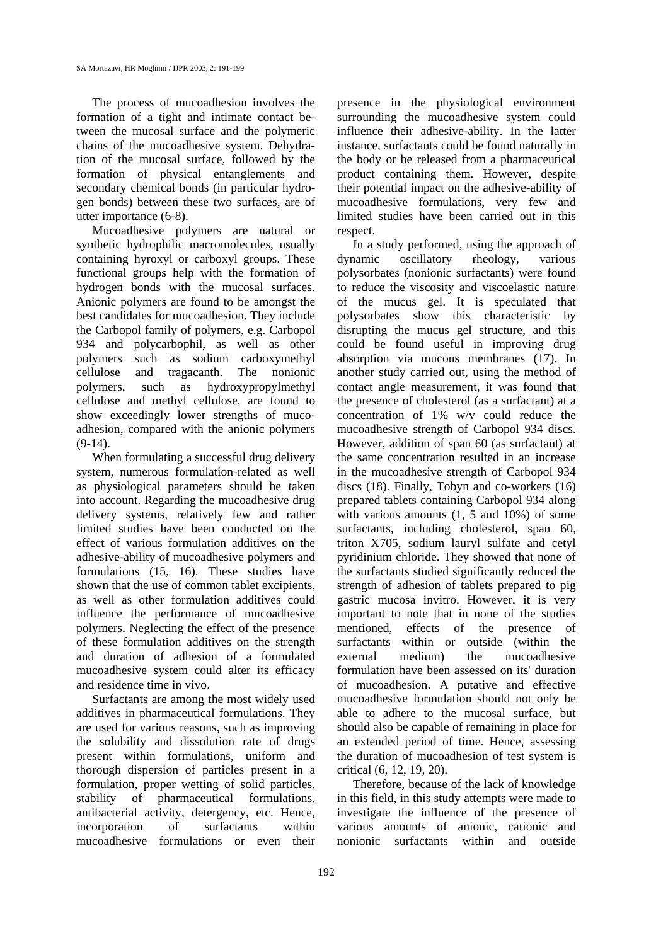The process of mucoadhesion involves the formation of a tight and intimate contact between the mucosal surface and the polymeric chains of the mucoadhesive system. Dehydration of the mucosal surface, followed by the formation of physical entanglements and secondary chemical bonds (in particular hydrogen bonds) between these two surfaces, are of utter importance (6-8).

Mucoadhesive polymers are natural or synthetic hydrophilic macromolecules, usually containing hyroxyl or carboxyl groups. These functional groups help with the formation of hydrogen bonds with the mucosal surfaces. Anionic polymers are found to be amongst the best candidates for mucoadhesion. They include the Carbopol family of polymers, e.g. Carbopol 934 and polycarbophil, as well as other polymers such as sodium carboxymethyl cellulose and tragacanth. The nonionic polymers, such as hydroxypropylmethyl cellulose and methyl cellulose, are found to show exceedingly lower strengths of mucoadhesion, compared with the anionic polymers  $(9-14)$ .

When formulating a successful drug delivery system, numerous formulation-related as well as physiological parameters should be taken into account. Regarding the mucoadhesive drug delivery systems, relatively few and rather limited studies have been conducted on the effect of various formulation additives on the adhesive-ability of mucoadhesive polymers and formulations (15, 16). These studies have shown that the use of common tablet excipients, as well as other formulation additives could influence the performance of mucoadhesive polymers. Neglecting the effect of the presence of these formulation additives on the strength and duration of adhesion of a formulated mucoadhesive system could alter its efficacy and residence time in vivo.

Surfactants are among the most widely used additives in pharmaceutical formulations. They are used for various reasons, such as improving the solubility and dissolution rate of drugs present within formulations, uniform and thorough dispersion of particles present in a formulation, proper wetting of solid particles, stability of pharmaceutical formulations, antibacterial activity, detergency, etc. Hence, incorporation of surfactants within mucoadhesive formulations or even their

presence in the physiological environment surrounding the mucoadhesive system could influence their adhesive-ability. In the latter instance, surfactants could be found naturally in the body or be released from a pharmaceutical product containing them. However, despite their potential impact on the adhesive-ability of mucoadhesive formulations, very few and limited studies have been carried out in this respect.

In a study performed, using the approach of dynamic oscillatory rheology, various polysorbates (nonionic surfactants) were found to reduce the viscosity and viscoelastic nature of the mucus gel. It is speculated that polysorbates show this characteristic by disrupting the mucus gel structure, and this could be found useful in improving drug absorption via mucous membranes (17). In another study carried out, using the method of contact angle measurement, it was found that the presence of cholesterol (as a surfactant) at a concentration of 1% w/v could reduce the mucoadhesive strength of Carbopol 934 discs. However, addition of span 60 (as surfactant) at the same concentration resulted in an increase in the mucoadhesive strength of Carbopol 934 discs (18). Finally, Tobyn and co-workers (16) prepared tablets containing Carbopol 934 along with various amounts (1, 5 and 10%) of some surfactants, including cholesterol, span 60, triton X705, sodium lauryl sulfate and cetyl pyridinium chloride. They showed that none of the surfactants studied significantly reduced the strength of adhesion of tablets prepared to pig gastric mucosa invitro. However, it is very important to note that in none of the studies mentioned, effects of the presence of surfactants within or outside (within the external medium) the mucoadhesive formulation have been assessed on its' duration of mucoadhesion. A putative and effective mucoadhesive formulation should not only be able to adhere to the mucosal surface, but should also be capable of remaining in place for an extended period of time. Hence, assessing the duration of mucoadhesion of test system is critical (6, 12, 19, 20).

Therefore, because of the lack of knowledge in this field, in this study attempts were made to investigate the influence of the presence of various amounts of anionic, cationic and nonionic surfactants within and outside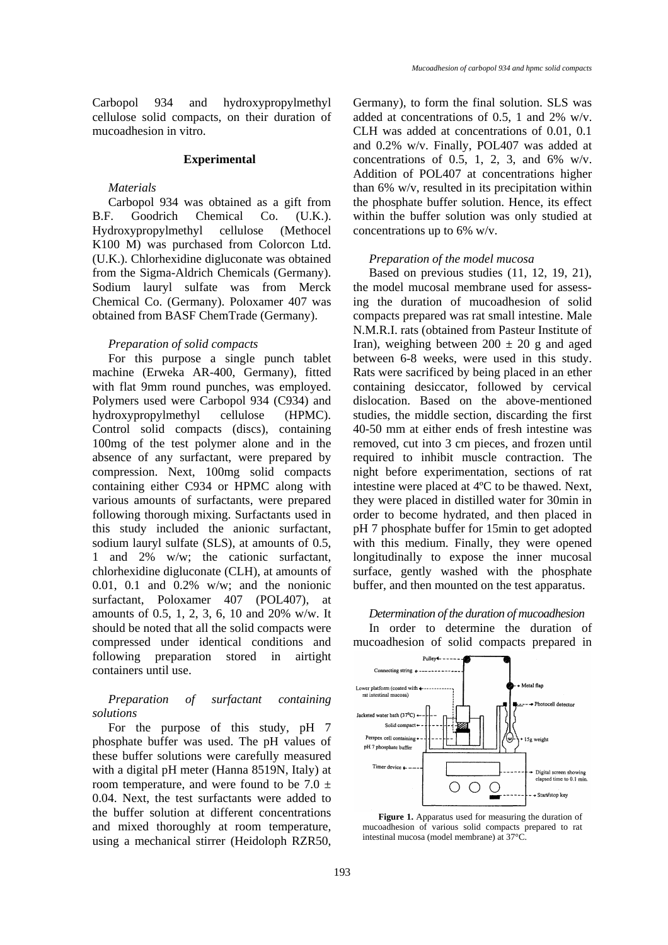Carbopol 934 and hydroxypropylmethyl cellulose solid compacts, on their duration of mucoadhesion in vitro.

#### **Experimental**

### *Materials*

Carbopol 934 was obtained as a gift from B.F. Goodrich Chemical Co. (U.K.). Hydroxypropylmethyl cellulose (Methocel K100 M) was purchased from Colorcon Ltd. (U.K.). Chlorhexidine digluconate was obtained from the Sigma-Aldrich Chemicals (Germany). Sodium lauryl sulfate was from Merck Chemical Co. (Germany). Poloxamer 407 was obtained from BASF ChemTrade (Germany).

### *Preparation of solid compacts*

For this purpose a single punch tablet machine (Erweka AR-400, Germany), fitted with flat 9mm round punches, was employed. Polymers used were Carbopol 934 (C934) and hydroxypropylmethyl cellulose (HPMC). Control solid compacts (discs), containing 100mg of the test polymer alone and in the absence of any surfactant, were prepared by compression. Next, 100mg solid compacts containing either C934 or HPMC along with various amounts of surfactants, were prepared following thorough mixing. Surfactants used in this study included the anionic surfactant, sodium lauryl sulfate (SLS), at amounts of 0.5, 1 and 2% w/w; the cationic surfactant, chlorhexidine digluconate (CLH), at amounts of 0.01, 0.1 and 0.2% w/w; and the nonionic surfactant, Poloxamer 407 (POL407), at amounts of 0.5, 1, 2, 3, 6, 10 and 20% w/w. It should be noted that all the solid compacts were compressed under identical conditions and following preparation stored in airtight containers until use.

# *Preparation of surfactant containing solutions*

For the purpose of this study, pH 7 phosphate buffer was used. The pH values of these buffer solutions were carefully measured with a digital pH meter (Hanna 8519N, Italy) at room temperature, and were found to be  $7.0 \pm$ 0.04. Next, the test surfactants were added to the buffer solution at different concentrations and mixed thoroughly at room temperature, using a mechanical stirrer (Heidoloph RZR50, Germany), to form the final solution. SLS was added at concentrations of 0.5, 1 and 2% w/v. CLH was added at concentrations of 0.01, 0.1 and 0.2% w/v. Finally, POL407 was added at concentrations of 0.5, 1, 2, 3, and  $6\%$  w/v. Addition of POL407 at concentrations higher than 6% w/v, resulted in its precipitation within the phosphate buffer solution. Hence, its effect within the buffer solution was only studied at concentrations up to 6% w/v.

### *Preparation of the model mucosa*

Based on previous studies (11, 12, 19, 21), the model mucosal membrane used for assessing the duration of mucoadhesion of solid compacts prepared was rat small intestine. Male N.M.R.I. rats (obtained from Pasteur Institute of Iran), weighing between  $200 \pm 20$  g and aged between 6-8 weeks, were used in this study. Rats were sacrificed by being placed in an ether containing desiccator, followed by cervical dislocation. Based on the above-mentioned studies, the middle section, discarding the first 40-50 mm at either ends of fresh intestine was removed, cut into 3 cm pieces, and frozen until required to inhibit muscle contraction. The night before experimentation, sections of rat intestine were placed at 4ºC to be thawed. Next, they were placed in distilled water for 30min in order to become hydrated, and then placed in pH 7 phosphate buffer for 15min to get adopted with this medium. Finally, they were opened longitudinally to expose the inner mucosal surface, gently washed with the phosphate buffer, and then mounted on the test apparatus.

*Determination of the duration of mucoadhesion*  In order to determine the duration of mucoadhesion of solid compacts prepared in



Figure 1. Apparatus used for measuring the duration of mucoadhesion of various solid compacts prepared to rat intestinal mucosa (model membrane) at 37°C.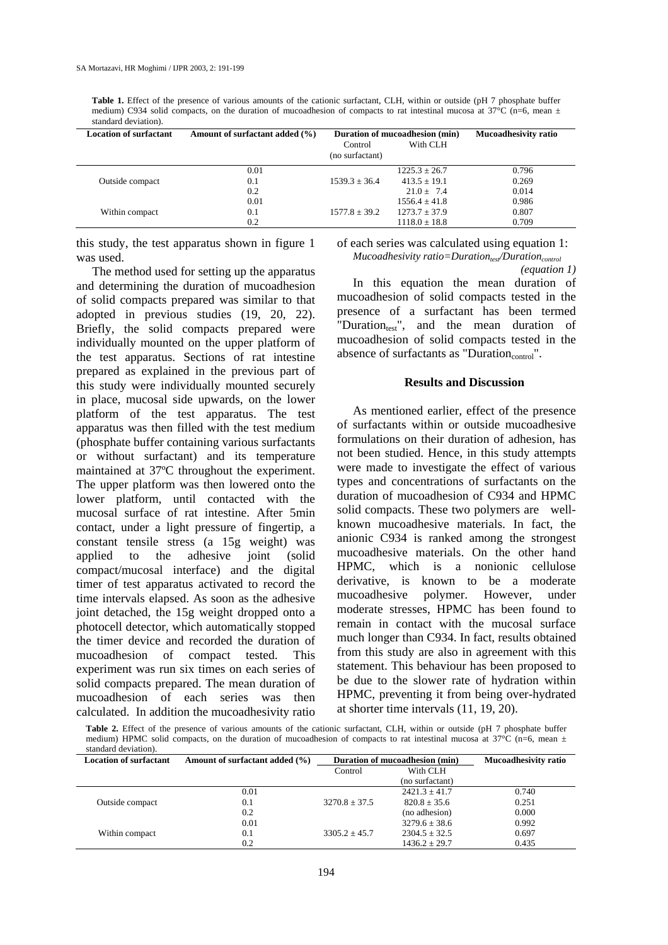**Table 1.** Effect of the presence of various amounts of the cationic surfactant, CLH, within or outside (pH 7 phosphate buffer medium) C934 solid compacts, on the duration of mucoadhesion of compacts to rat intestinal mucosa at 37°C (n=6, mean  $\pm$ standard deviation).

| <b>Location of surfactant</b> | Amount of surfactant added (%) | Duration of mucoadhesion (min) |                   | <b>Mucoadhesivity ratio</b> |
|-------------------------------|--------------------------------|--------------------------------|-------------------|-----------------------------|
|                               |                                | Control<br>(no surfactant)     | With CLH          |                             |
|                               | 0.01                           |                                | $1225.3 + 26.7$   | 0.796                       |
| Outside compact               | 0.1                            | $1539.3 + 36.4$                | $413.5 \pm 19.1$  | 0.269                       |
|                               | 0.2                            |                                | $21.0 \pm 7.4$    | 0.014                       |
|                               | 0.01                           |                                | $1556.4 + 41.8$   | 0.986                       |
| Within compact                | 0.1                            | $1577.8 \pm 39.2$              | $1273.7 + 37.9$   | 0.807                       |
|                               | 0.2                            |                                | $1118.0 \pm 18.8$ | 0.709                       |

this study, the test apparatus shown in figure 1 was used.

of each series was calculated using equation 1:

*Mucoadhesivity ratio=Duration<sub>test</sub>/Duration<sub>control</sub> (equation 1)* 

The method used for setting up the apparatus and determining the duration of mucoadhesion of solid compacts prepared was similar to that adopted in previous studies (19, 20, 22). Briefly, the solid compacts prepared were individually mounted on the upper platform of the test apparatus. Sections of rat intestine prepared as explained in the previous part of this study were individually mounted securely in place, mucosal side upwards, on the lower platform of the test apparatus. The test apparatus was then filled with the test medium (phosphate buffer containing various surfactants or without surfactant) and its temperature maintained at 37ºC throughout the experiment. The upper platform was then lowered onto the lower platform, until contacted with the mucosal surface of rat intestine. After 5min contact, under a light pressure of fingertip, a constant tensile stress (a 15g weight) was applied to the adhesive joint (solid compact/mucosal interface) and the digital timer of test apparatus activated to record the time intervals elapsed. As soon as the adhesive joint detached, the 15g weight dropped onto a photocell detector, which automatically stopped the timer device and recorded the duration of mucoadhesion of compact tested. This experiment was run six times on each series of solid compacts prepared. The mean duration of mucoadhesion of each series was then calculated. In addition the mucoadhesivity ratio

In this equation the mean duration of mucoadhesion of solid compacts tested in the presence of a surfactant has been termed "Duration $_{test}$ ", and the mean duration of mucoadhesion of solid compacts tested in the absence of surfactants as "Duration $_{control}$ ".

## **Results and Discussion**

As mentioned earlier, effect of the presence of surfactants within or outside mucoadhesive formulations on their duration of adhesion, has not been studied. Hence, in this study attempts were made to investigate the effect of various types and concentrations of surfactants on the duration of mucoadhesion of C934 and HPMC solid compacts. These two polymers are wellknown mucoadhesive materials. In fact, the anionic C934 is ranked among the strongest mucoadhesive materials. On the other hand HPMC, which is a nonionic cellulose derivative, is known to be a moderate mucoadhesive polymer. However, under moderate stresses, HPMC has been found to remain in contact with the mucosal surface much longer than C934. In fact, results obtained from this study are also in agreement with this statement. This behaviour has been proposed to be due to the slower rate of hydration within HPMC, preventing it from being over-hydrated at shorter time intervals (11, 19, 20).

**Table 2.** Effect of the presence of various amounts of the cationic surfactant, CLH, within or outside (pH 7 phosphate buffer medium) HPMC solid compacts, on the duration of mucoadhesion of compacts to rat intestinal mucosa at  $37^{\circ}$ C (n=6, mean  $\pm$ standard deviation).

| <b>Location of surfactant</b> | Amount of surfactant added (%) | Duration of mucoadhesion (min) |                   | <b>Mucoadhesivity ratio</b> |
|-------------------------------|--------------------------------|--------------------------------|-------------------|-----------------------------|
|                               |                                | Control                        | With CLH          |                             |
|                               |                                |                                | (no surfactant)   |                             |
|                               | 0.01                           |                                | $2421.3 + 41.7$   | 0.740                       |
| Outside compact               | 0.1                            | $3270.8 \pm 37.5$              | $820.8 + 35.6$    | 0.251                       |
|                               | 0.2                            |                                | (no adhesion)     | 0.000                       |
|                               | 0.01                           |                                | $3279.6 \pm 38.6$ | 0.992                       |
| Within compact                | 0.1                            | $3305.2 + 45.7$                | $2304.5 \pm 32.5$ | 0.697                       |
|                               | 0.2                            |                                | $1436.2 + 29.7$   | 0.435                       |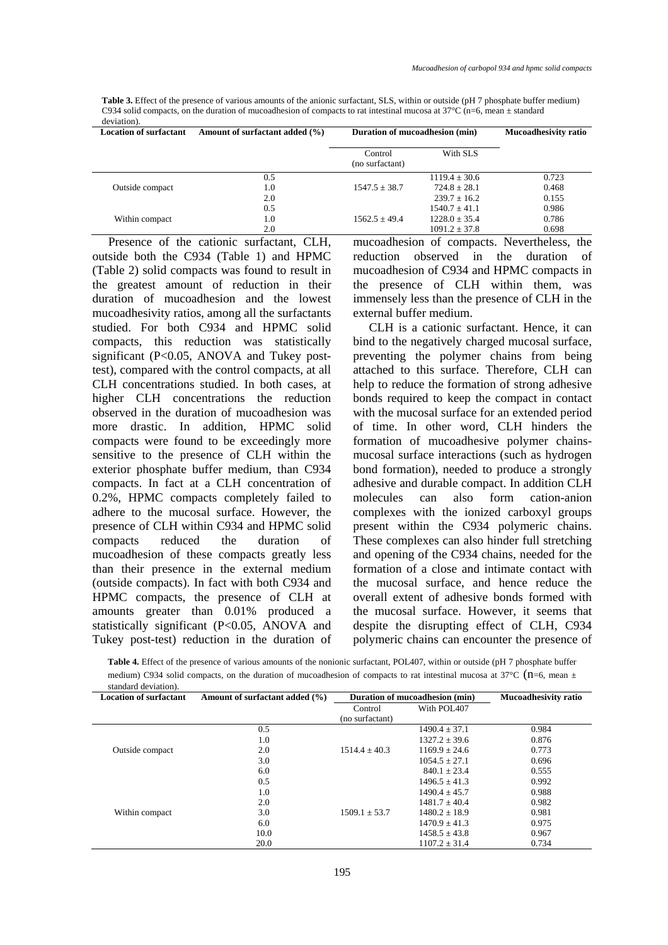**Table 3.** Effect of the presence of various amounts of the anionic surfactant, SLS, within or outside (pH 7 phosphate buffer medium) C934 solid compacts, on the duration of mucoadhesion of compacts to rat intestinal mucosa at  $37^{\circ}$ C (n=6, mean  $\pm$  standard deviation).

| <b>Location of surfactant</b> | Amount of surfactant added (%) | Duration of mucoadhesion (min) |                   | <b>Mucoadhesivity ratio</b> |
|-------------------------------|--------------------------------|--------------------------------|-------------------|-----------------------------|
|                               |                                | Control<br>(no surfactant)     | With SLS          |                             |
|                               | 0.5                            |                                | $1119.4 + 30.6$   | 0.723                       |
| Outside compact               | 1.0                            | $1547.5 \pm 38.7$              | $724.8 + 28.1$    | 0.468                       |
|                               | 2.0                            |                                | $239.7 + 16.2$    | 0.155                       |
|                               | 0.5                            |                                | $1540.7 + 41.1$   | 0.986                       |
| Within compact                | 1.0                            | $1562.5 + 49.4$                | $1228.0 \pm 35.4$ | 0.786                       |
|                               | 2.0                            |                                | $1091.2 \pm 37.8$ | 0.698                       |

Presence of the cationic surfactant, CLH, outside both the C934 (Table 1) and HPMC (Table 2) solid compacts was found to result in the greatest amount of reduction in their duration of mucoadhesion and the lowest mucoadhesivity ratios, among all the surfactants studied. For both C934 and HPMC solid compacts, this reduction was statistically significant (P<0.05, ANOVA and Tukey posttest), compared with the control compacts, at all CLH concentrations studied. In both cases, at higher CLH concentrations the reduction observed in the duration of mucoadhesion was more drastic. In addition, HPMC solid compacts were found to be exceedingly more sensitive to the presence of CLH within the exterior phosphate buffer medium, than C934 compacts. In fact at a CLH concentration of 0.2%, HPMC compacts completely failed to adhere to the mucosal surface. However, the presence of CLH within C934 and HPMC solid compacts reduced the duration of mucoadhesion of these compacts greatly less than their presence in the external medium (outside compacts). In fact with both C934 and HPMC compacts, the presence of CLH at amounts greater than 0.01% produced a statistically significant (P<0.05, ANOVA and Tukey post-test) reduction in the duration of mucoadhesion of compacts. Nevertheless, the reduction observed in the duration of mucoadhesion of C934 and HPMC compacts in the presence of CLH within them, was immensely less than the presence of CLH in the external buffer medium.

CLH is a cationic surfactant. Hence, it can bind to the negatively charged mucosal surface, preventing the polymer chains from being attached to this surface. Therefore, CLH can help to reduce the formation of strong adhesive bonds required to keep the compact in contact with the mucosal surface for an extended period of time. In other word, CLH hinders the formation of mucoadhesive polymer chainsmucosal surface interactions (such as hydrogen bond formation), needed to produce a strongly adhesive and durable compact. In addition CLH molecules can also form cation-anion complexes with the ionized carboxyl groups present within the C934 polymeric chains. These complexes can also hinder full stretching and opening of the C934 chains, needed for the formation of a close and intimate contact with the mucosal surface, and hence reduce the overall extent of adhesive bonds formed with the mucosal surface. However, it seems that despite the disrupting effect of CLH, C934 polymeric chains can encounter the presence of

**Table 4.** Effect of the presence of various amounts of the nonionic surfactant, POL407, within or outside (pH 7 phosphate buffer medium) C934 solid compacts, on the duration of mucoadhesion of compacts to rat intestinal mucosa at 37°C ( $n=6$ , mean  $\pm$ standard deviation).

| <b>Location of surfactant</b> | Amount of surfactant added (%) | Duration of mucoadhesion (min) |                   | <b>Mucoadhesivity ratio</b> |
|-------------------------------|--------------------------------|--------------------------------|-------------------|-----------------------------|
|                               |                                | Control                        | With POL407       |                             |
|                               |                                | (no surfactant)                |                   |                             |
|                               | 0.5                            |                                | $1490.4 \pm 37.1$ | 0.984                       |
|                               | 1.0                            |                                | $1327.2 + 39.6$   | 0.876                       |
| Outside compact               | 2.0                            | $1514.4 + 40.3$                | $1169.9 \pm 24.6$ | 0.773                       |
|                               | 3.0                            |                                | $1054.5 + 27.1$   | 0.696                       |
|                               | 6.0                            |                                | $840.1 \pm 23.4$  | 0.555                       |
|                               | 0.5                            |                                | $1496.5 \pm 41.3$ | 0.992                       |
|                               | 1.0                            |                                | $1490.4 + 45.7$   | 0.988                       |
|                               | 2.0                            |                                | $1481.7 \pm 40.4$ | 0.982                       |
| Within compact                | 3.0                            | $1509.1 \pm 53.7$              | $1480.2 \pm 18.9$ | 0.981                       |
|                               | 6.0                            |                                | $1470.9 \pm 41.3$ | 0.975                       |
|                               | 10.0                           |                                | $1458.5 \pm 43.8$ | 0.967                       |
|                               | 20.0                           |                                | $1107.2 \pm 31.4$ | 0.734                       |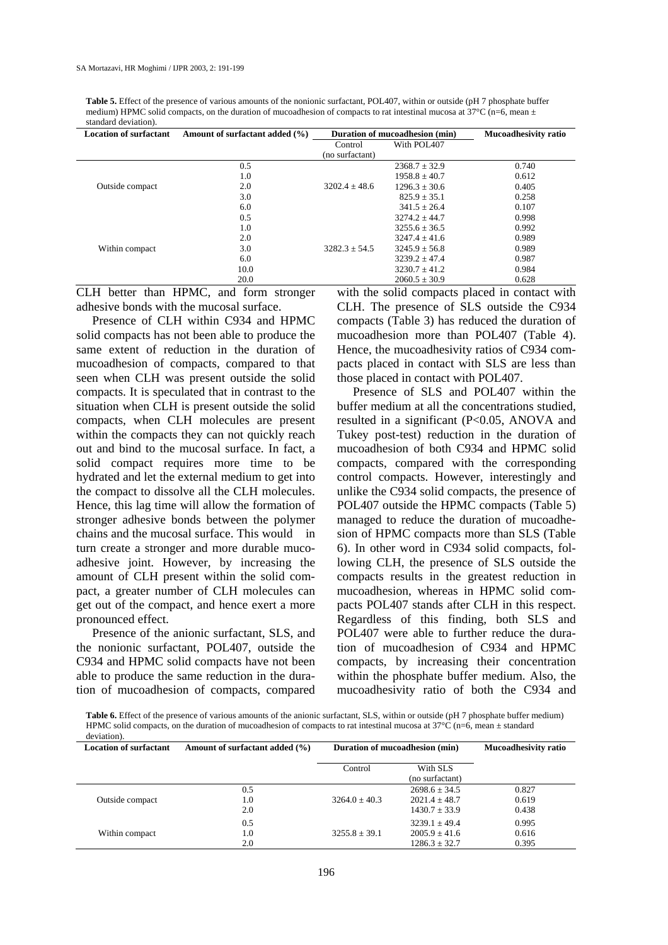**Table 5.** Effect of the presence of various amounts of the nonionic surfactant, POL407, within or outside (pH 7 phosphate buffer medium) HPMC solid compacts, on the duration of mucoadhesion of compacts to rat intestinal mucosa at  $37^{\circ}$ C (n=6, mean  $\pm$ standard deviation).

| <b>Location of surfactant</b>                      | Amount of surfactant added (%) |                   | Duration of mucoadhesion (min) | <b>Mucoadhesivity ratio</b>                                     |
|----------------------------------------------------|--------------------------------|-------------------|--------------------------------|-----------------------------------------------------------------|
|                                                    |                                | Control           | With POL407                    |                                                                 |
|                                                    |                                | (no surfactant)   |                                |                                                                 |
|                                                    | 0.5                            |                   | $2368.7 \pm 32.9$              | 0.740                                                           |
|                                                    | 1.0                            |                   | $1958.8 \pm 40.7$              | 0.612                                                           |
| Outside compact                                    | 2.0                            | $3202.4 \pm 48.6$ | $1296.3 \pm 30.6$              | 0.405                                                           |
|                                                    | 3.0                            |                   | $825.9 \pm 35.1$               | 0.258                                                           |
|                                                    | 6.0                            |                   | $341.5 + 26.4$                 | 0.107                                                           |
|                                                    | 0.5                            |                   | $3274.2 \pm 44.7$              | 0.998                                                           |
|                                                    | 1.0                            |                   | $3255.6 \pm 36.5$              | 0.992                                                           |
| Within compact                                     | 2.0                            | $3282.3 \pm 54.5$ | $3247.4 \pm 41.6$              | 0.989                                                           |
|                                                    | 3.0                            |                   | $3245.9 \pm 56.8$              | 0.989                                                           |
|                                                    | 6.0                            |                   | $3239.2 \pm 47.4$              | 0.987                                                           |
|                                                    | 10.0                           |                   | $3230.7 \pm 41.2$              | 0.984                                                           |
|                                                    | 20.0                           |                   | $2060.5 \pm 30.9$              | 0.628                                                           |
| $C$ III $k_{\text{eff}}$ $l_{\text{tot}}$ IIDM $C$ | and Camera atriciana           |                   |                                | district that a bid a comparator of cased the comparator of the |

CLH better than HPMC, and form stronger adhesive bonds with the mucosal surface.

Presence of CLH within C934 and HPMC solid compacts has not been able to produce the same extent of reduction in the duration of mucoadhesion of compacts, compared to that seen when CLH was present outside the solid compacts. It is speculated that in contrast to the situation when CLH is present outside the solid compacts, when CLH molecules are present within the compacts they can not quickly reach out and bind to the mucosal surface. In fact, a solid compact requires more time to be hydrated and let the external medium to get into the compact to dissolve all the CLH molecules. Hence, this lag time will allow the formation of stronger adhesive bonds between the polymer chains and the mucosal surface. This would in turn create a stronger and more durable mucoadhesive joint. However, by increasing the amount of CLH present within the solid compact, a greater number of CLH molecules can get out of the compact, and hence exert a more pronounced effect.

Presence of the anionic surfactant, SLS, and the nonionic surfactant, POL407, outside the C934 and HPMC solid compacts have not been able to produce the same reduction in the duration of mucoadhesion of compacts, compared

with the solid compacts placed in contact with CLH. The presence of SLS outside the C934 compacts (Table 3) has reduced the duration of mucoadhesion more than POL407 (Table 4). Hence, the mucoadhesivity ratios of C934 compacts placed in contact with SLS are less than those placed in contact with POL407.

Presence of SLS and POL407 within the buffer medium at all the concentrations studied, resulted in a significant (P<0.05, ANOVA and Tukey post-test) reduction in the duration of mucoadhesion of both C934 and HPMC solid compacts, compared with the corresponding control compacts. However, interestingly and unlike the C934 solid compacts, the presence of POL407 outside the HPMC compacts (Table 5) managed to reduce the duration of mucoadhesion of HPMC compacts more than SLS (Table 6). In other word in C934 solid compacts, following CLH, the presence of SLS outside the compacts results in the greatest reduction in mucoadhesion, whereas in HPMC solid compacts POL407 stands after CLH in this respect. Regardless of this finding, both SLS and POL407 were able to further reduce the duration of mucoadhesion of C934 and HPMC compacts, by increasing their concentration within the phosphate buffer medium. Also, the mucoadhesivity ratio of both the C934 and

**Table 6.** Effect of the presence of various amounts of the anionic surfactant, SLS, within or outside (pH 7 phosphate buffer medium) HPMC solid compacts, on the duration of mucoadhesion of compacts to rat intestinal mucosa at 37 $^{\circ}$ C (n=6, mean  $\pm$  standard deviation).

| <b>Location of surfactant</b> | Amount of surfactant added (%) | Duration of mucoadhesion (min) |                             | <b>Mucoadhesivity ratio</b> |
|-------------------------------|--------------------------------|--------------------------------|-----------------------------|-----------------------------|
|                               |                                | Control                        | With SLS<br>(no surfactant) |                             |
|                               | 0.5                            |                                | $2698.6 + 34.5$             | 0.827                       |
| Outside compact               | 1.0                            | $3264.0 + 40.3$                | $2021.4 \pm 48.7$           | 0.619                       |
|                               | 2.0                            |                                | $1430.7 \pm 33.9$           | 0.438                       |
|                               | 0.5                            |                                | $3239.1 + 49.4$             | 0.995                       |
| Within compact                | 1.0                            | $3255.8 + 39.1$                | $2005.9 + 41.6$             | 0.616                       |
|                               | 2.0                            |                                | $1286.3 \pm 32.7$           | 0.395                       |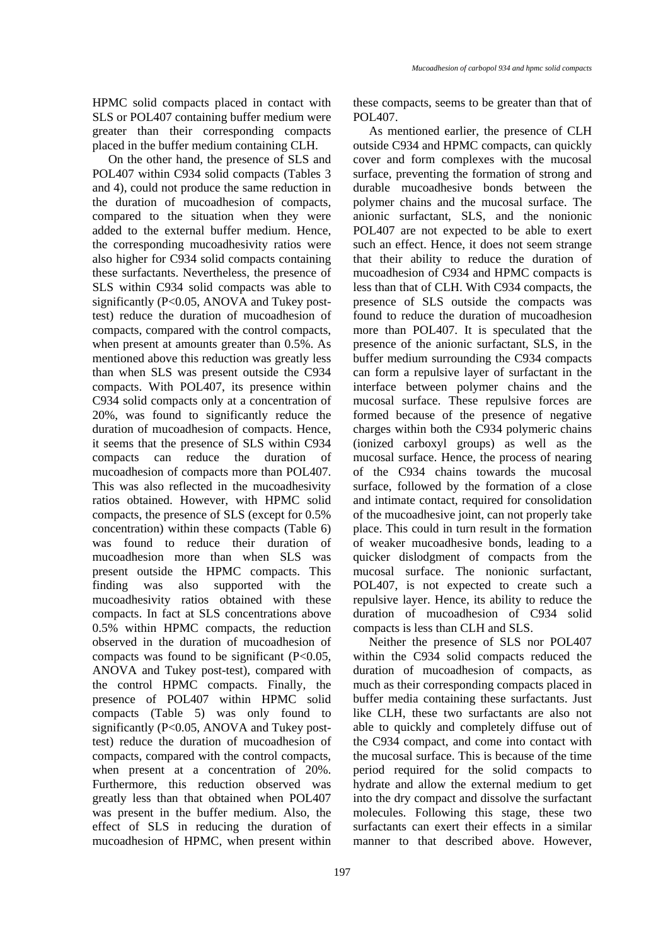HPMC solid compacts placed in contact with SLS or POL407 containing buffer medium were greater than their corresponding compacts placed in the buffer medium containing CLH.

On the other hand, the presence of SLS and POL407 within C934 solid compacts (Tables 3 and 4), could not produce the same reduction in the duration of mucoadhesion of compacts, compared to the situation when they were added to the external buffer medium. Hence, the corresponding mucoadhesivity ratios were also higher for C934 solid compacts containing these surfactants. Nevertheless, the presence of SLS within C934 solid compacts was able to significantly (P<0.05, ANOVA and Tukey posttest) reduce the duration of mucoadhesion of compacts, compared with the control compacts, when present at amounts greater than 0.5%. As mentioned above this reduction was greatly less than when SLS was present outside the C934 compacts. With POL407, its presence within C934 solid compacts only at a concentration of 20%, was found to significantly reduce the duration of mucoadhesion of compacts. Hence, it seems that the presence of SLS within C934 compacts can reduce the duration of mucoadhesion of compacts more than POL407. This was also reflected in the mucoadhesivity ratios obtained. However, with HPMC solid compacts, the presence of SLS (except for 0.5% concentration) within these compacts (Table 6) was found to reduce their duration of mucoadhesion more than when SLS was present outside the HPMC compacts. This finding was also supported with the mucoadhesivity ratios obtained with these compacts. In fact at SLS concentrations above 0.5% within HPMC compacts, the reduction observed in the duration of mucoadhesion of compacts was found to be significant (P<0.05, ANOVA and Tukey post-test), compared with the control HPMC compacts. Finally, the presence of POL407 within HPMC solid compacts (Table 5) was only found to significantly (P<0.05, ANOVA and Tukey posttest) reduce the duration of mucoadhesion of compacts, compared with the control compacts, when present at a concentration of 20%. Furthermore, this reduction observed was greatly less than that obtained when POL407 was present in the buffer medium. Also, the effect of SLS in reducing the duration of mucoadhesion of HPMC, when present within these compacts, seems to be greater than that of POL407.

As mentioned earlier, the presence of CLH outside C934 and HPMC compacts, can quickly cover and form complexes with the mucosal surface, preventing the formation of strong and durable mucoadhesive bonds between the polymer chains and the mucosal surface. The anionic surfactant, SLS, and the nonionic POL407 are not expected to be able to exert such an effect. Hence, it does not seem strange that their ability to reduce the duration of mucoadhesion of C934 and HPMC compacts is less than that of CLH. With C934 compacts, the presence of SLS outside the compacts was found to reduce the duration of mucoadhesion more than POL407. It is speculated that the presence of the anionic surfactant, SLS, in the buffer medium surrounding the C934 compacts can form a repulsive layer of surfactant in the interface between polymer chains and the mucosal surface. These repulsive forces are formed because of the presence of negative charges within both the C934 polymeric chains (ionized carboxyl groups) as well as the mucosal surface. Hence, the process of nearing of the C934 chains towards the mucosal surface, followed by the formation of a close and intimate contact, required for consolidation of the mucoadhesive joint, can not properly take place. This could in turn result in the formation of weaker mucoadhesive bonds, leading to a quicker dislodgment of compacts from the mucosal surface. The nonionic surfactant, POL407, is not expected to create such a repulsive layer. Hence, its ability to reduce the duration of mucoadhesion of C934 solid compacts is less than CLH and SLS.

Neither the presence of SLS nor POL407 within the C934 solid compacts reduced the duration of mucoadhesion of compacts, as much as their corresponding compacts placed in buffer media containing these surfactants. Just like CLH, these two surfactants are also not able to quickly and completely diffuse out of the C934 compact, and come into contact with the mucosal surface. This is because of the time period required for the solid compacts to hydrate and allow the external medium to get into the dry compact and dissolve the surfactant molecules. Following this stage, these two surfactants can exert their effects in a similar manner to that described above. However,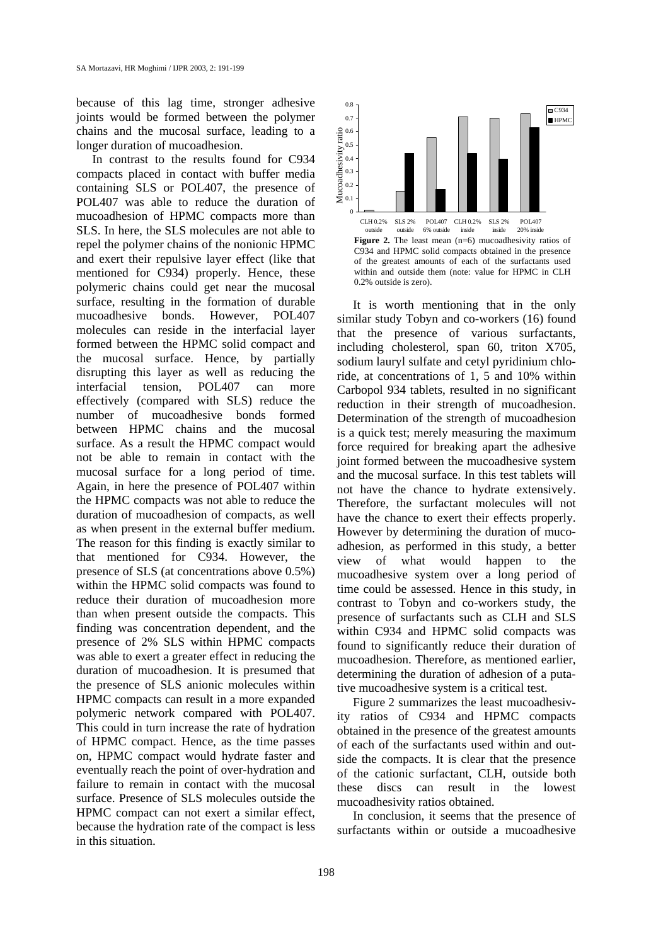because of this lag time, stronger adhesive joints would be formed between the polymer chains and the mucosal surface, leading to a longer duration of mucoadhesion.

In contrast to the results found for C934 compacts placed in contact with buffer media containing SLS or POL407, the presence of POL407 was able to reduce the duration of mucoadhesion of HPMC compacts more than SLS. In here, the SLS molecules are not able to repel the polymer chains of the nonionic HPMC and exert their repulsive layer effect (like that mentioned for C934) properly. Hence, these polymeric chains could get near the mucosal surface, resulting in the formation of durable mucoadhesive bonds. However, POL407 molecules can reside in the interfacial layer formed between the HPMC solid compact and the mucosal surface. Hence, by partially disrupting this layer as well as reducing the interfacial tension, POL407 can more effectively (compared with SLS) reduce the number of mucoadhesive bonds formed between HPMC chains and the mucosal surface. As a result the HPMC compact would not be able to remain in contact with the mucosal surface for a long period of time. Again, in here the presence of POL407 within the HPMC compacts was not able to reduce the duration of mucoadhesion of compacts, as well as when present in the external buffer medium. The reason for this finding is exactly similar to that mentioned for C934. However, the presence of SLS (at concentrations above 0.5%) within the HPMC solid compacts was found to reduce their duration of mucoadhesion more than when present outside the compacts. This finding was concentration dependent, and the presence of 2% SLS within HPMC compacts was able to exert a greater effect in reducing the duration of mucoadhesion. It is presumed that the presence of SLS anionic molecules within HPMC compacts can result in a more expanded polymeric network compared with POL407. This could in turn increase the rate of hydration of HPMC compact. Hence, as the time passes on, HPMC compact would hydrate faster and eventually reach the point of over-hydration and failure to remain in contact with the mucosal surface. Presence of SLS molecules outside the HPMC compact can not exert a similar effect, because the hydration rate of the compact is less in this situation.



It is worth mentioning that in the only similar study Tobyn and co-workers (16) found that the presence of various surfactants, including cholesterol, span 60, triton X705, sodium lauryl sulfate and cetyl pyridinium chloride, at concentrations of 1, 5 and 10% within Carbopol 934 tablets, resulted in no significant reduction in their strength of mucoadhesion. Determination of the strength of mucoadhesion is a quick test; merely measuring the maximum force required for breaking apart the adhesive joint formed between the mucoadhesive system and the mucosal surface. In this test tablets will not have the chance to hydrate extensively. Therefore, the surfactant molecules will not have the chance to exert their effects properly. However by determining the duration of mucoadhesion, as performed in this study, a better view of what would happen to the mucoadhesive system over a long period of time could be assessed. Hence in this study, in contrast to Tobyn and co-workers study, the presence of surfactants such as CLH and SLS within C934 and HPMC solid compacts was found to significantly reduce their duration of mucoadhesion. Therefore, as mentioned earlier, determining the duration of adhesion of a putative mucoadhesive system is a critical test. Surfact the present current of the measure of the presence of the current of the presence of the system of the presence of the system of the system of the system of the system of the system of the system of the system of t

Figure 2 summarizes the least mucoadhesivity ratios of C934 and HPMC compacts obtained in the presence of the greatest amounts of each of the surfactants used within and outside the compacts. It is clear that the presence of the cationic surfactant, CLH, outside both these discs can result in the lowest mucoadhesivity ratios obtained.

In conclusion, it seems that the presence of surfactants within or outside a mucoadhesive